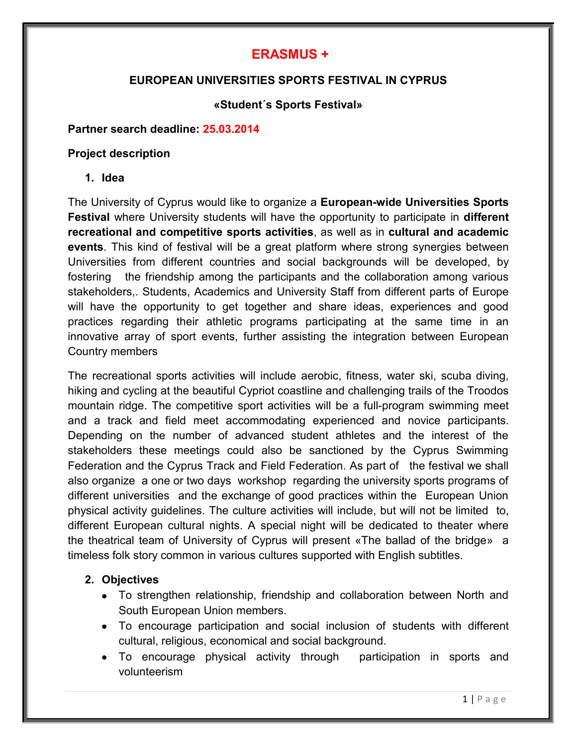# **ERASMUS +**

# **EUROPEAN UNIVERSITIES SPORTS FESTIVAL IN CYPRUS**

# **«Student´s Sports Festival»**

#### **Partner search deadline: 25.03.2014**

#### **Project description**

**1. Idea**

The University of Cyprus would like to organize a **European-wide Universities Sports Festival** where University students will have the opportunity to participate in **different recreational and competitive sports activities**, as well as in **cultural and academic events**. This kind of festival will be a great platform where strong synergies between Universities from different countries and social backgrounds will be developed, by fostering the friendship among the participants and the collaboration among various stakeholders,. Students, Academics and University Staff from different parts of Europe will have the opportunity to get together and share ideas, experiences and good practices regarding their athletic programs participating at the same time in an innovative array of sport events, further assisting the integration between European Country members

The recreational sports activities will include aerobic, fitness, water ski, scuba diving, hiking and cycling at the beautiful Cypriot coastline and challenging trails of the Troodos mountain ridge. The competitive sport activities will be a full-program swimming meet and a track and field meet accommodating experienced and novice participants. Depending on the number of advanced student athletes and the interest of the stakeholders these meetings could also be sanctioned by the Cyprus Swimming Federation and the Cyprus Track and Field Federation. As part of the festival we shall also organize a one or two days workshop regarding the university sports programs of different universities and the exchange of good practices within the European Union physical activity guidelines. The culture activities will include, but will not be limited to, different European cultural nights. A special night will be dedicated to theater where the theatrical team of University of Cyprus will present «The ballad of the bridge» a timeless folk story common in various cultures supported with English subtitles.

# **2. Objectives**

- To strengthen relationship, friendship and collaboration between North and South European Union members.
- To encourage participation and social inclusion of students with different cultural, religious, economical and social background.
- To encourage physical activity through participation in sports and volunteerism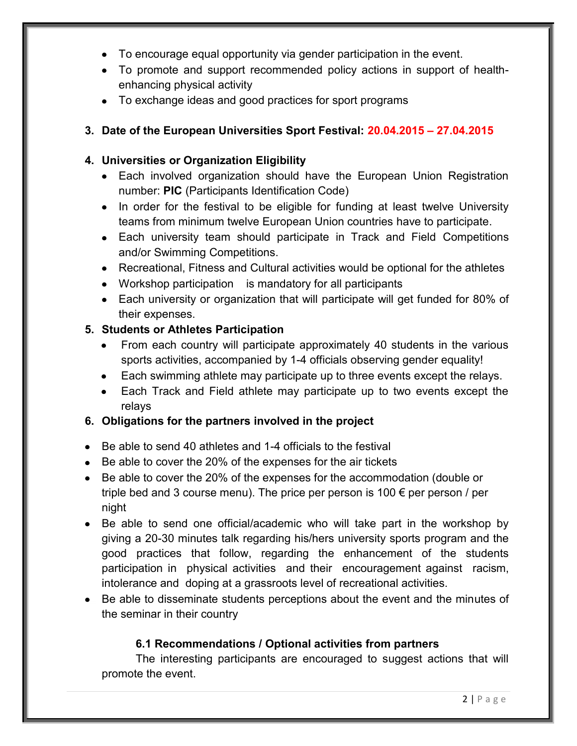- To encourage equal opportunity via gender participation in the event.
- To promote and support recommended policy actions in support of healthenhancing physical activity
- To exchange ideas and good practices for sport programs

# **3. Date of the European Universities Sport Festival: 20.04.2015 – 27.04.2015**

# **4. Universities or Organization Eligibility**

- Each involved organization should have the European Union Registration number: **PIC** (Participants Identification Code)
- In order for the festival to be eligible for funding at least twelve University teams from minimum twelve European Union countries have to participate.
- Each university team should participate in Track and Field Competitions and/or Swimming Competitions.
- Recreational, Fitness and Cultural activities would be optional for the athletes
- Workshop participation is mandatory for all participants
- Each university or organization that will participate will get funded for 80% of their expenses.

# **5. Students or Athletes Participation**

- From each country will participate approximately 40 students in the various  $\bullet$ sports activities, accompanied by 1-4 officials observing gender equality!
- Each swimming athlete may participate up to three events except the relays.  $\bullet$
- Each Track and Field athlete may participate up to two events except the  $\bullet$ relays

# **6. Obligations for the partners involved in the project**

- Be able to send 40 athletes and 1-4 officials to the festival
- Be able to cover the 20% of the expenses for the air tickets
- Be able to cover the 20% of the expenses for the accommodation (double or triple bed and 3 course menu). The price per person is  $100 \in$  per person / per night
- Be able to send one official/academic who will take part in the workshop by giving a 20-30 minutes talk regarding his/hers university sports program and the good practices that follow, regarding the enhancement of the students participation in physical activities and their encouragement against racism, intolerance and doping at a grassroots level of recreational activities.
- Be able to disseminate students perceptions about the event and the minutes of the seminar in their country

# **6.1 Recommendations / Optional activities from partners**

The interesting participants are encouraged to suggest actions that will promote the event.